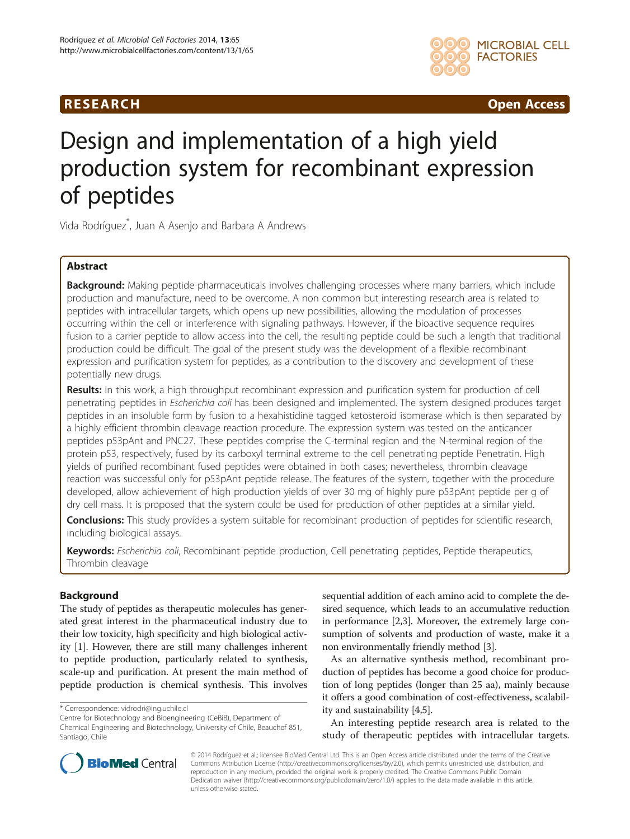

R E S EAR CH Open Access

# Design and implementation of a high yield production system for recombinant expression of peptides

Vida Rodríguez\* , Juan A Asenjo and Barbara A Andrews

# Abstract

Background: Making peptide pharmaceuticals involves challenging processes where many barriers, which include production and manufacture, need to be overcome. A non common but interesting research area is related to peptides with intracellular targets, which opens up new possibilities, allowing the modulation of processes occurring within the cell or interference with signaling pathways. However, if the bioactive sequence requires fusion to a carrier peptide to allow access into the cell, the resulting peptide could be such a length that traditional production could be difficult. The goal of the present study was the development of a flexible recombinant expression and purification system for peptides, as a contribution to the discovery and development of these potentially new drugs.

Results: In this work, a high throughput recombinant expression and purification system for production of cell penetrating peptides in Escherichia coli has been designed and implemented. The system designed produces target peptides in an insoluble form by fusion to a hexahistidine tagged ketosteroid isomerase which is then separated by a highly efficient thrombin cleavage reaction procedure. The expression system was tested on the anticancer peptides p53pAnt and PNC27. These peptides comprise the C-terminal region and the N-terminal region of the protein p53, respectively, fused by its carboxyl terminal extreme to the cell penetrating peptide Penetratin. High yields of purified recombinant fused peptides were obtained in both cases; nevertheless, thrombin cleavage reaction was successful only for p53pAnt peptide release. The features of the system, together with the procedure developed, allow achievement of high production yields of over 30 mg of highly pure p53pAnt peptide per g of dry cell mass. It is proposed that the system could be used for production of other peptides at a similar yield.

**Conclusions:** This study provides a system suitable for recombinant production of peptides for scientific research, including biological assays.

Keywords: Escherichia coli, Recombinant peptide production, Cell penetrating peptides, Peptide therapeutics, Thrombin cleavage

# Background

The study of peptides as therapeutic molecules has generated great interest in the pharmaceutical industry due to their low toxicity, high specificity and high biological activity [\[1](#page-8-0)]. However, there are still many challenges inherent to peptide production, particularly related to synthesis, scale-up and purification. At present the main method of peptide production is chemical synthesis. This involves

sequential addition of each amino acid to complete the desired sequence, which leads to an accumulative reduction in performance [[2,3](#page-8-0)]. Moreover, the extremely large consumption of solvents and production of waste, make it a non environmentally friendly method [[3\]](#page-8-0).

As an alternative synthesis method, recombinant production of peptides has become a good choice for production of long peptides (longer than 25 aa), mainly because it offers a good combination of cost-effectiveness, scalability and sustainability [\[4,5](#page-8-0)].

An interesting peptide research area is related to the study of therapeutic peptides with intracellular targets.



© 2014 Rodríguez et al.; licensee BioMed Central Ltd. This is an Open Access article distributed under the terms of the Creative Commons Attribution License [\(http://creativecommons.org/licenses/by/2.0\)](http://creativecommons.org/licenses/by/2.0), which permits unrestricted use, distribution, and reproduction in any medium, provided the original work is properly credited. The Creative Commons Public Domain Dedication waiver [\(http://creativecommons.org/publicdomain/zero/1.0/](http://creativecommons.org/publicdomain/zero/1.0/)) applies to the data made available in this article, unless otherwise stated.

<sup>\*</sup> Correspondence: [vidrodri@ing.uchile.cl](mailto:vidrodri@ing.uchile.cl)

Centre for Biotechnology and Bioengineering (CeBiB), Department of Chemical Engineering and Biotechnology, University of Chile, Beauchef 851, Santiago, Chile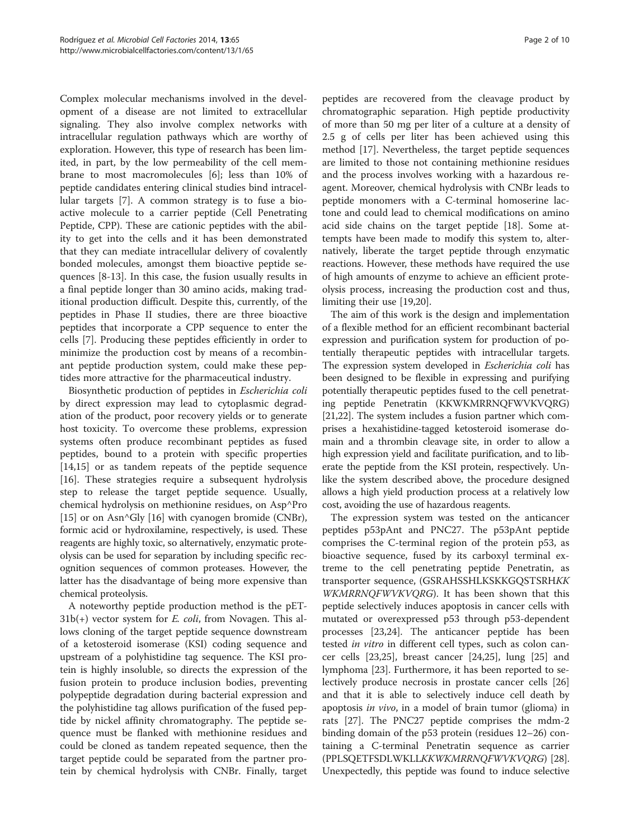Complex molecular mechanisms involved in the development of a disease are not limited to extracellular signaling. They also involve complex networks with intracellular regulation pathways which are worthy of exploration. However, this type of research has been limited, in part, by the low permeability of the cell membrane to most macromolecules [\[6](#page-8-0)]; less than 10% of peptide candidates entering clinical studies bind intracellular targets [\[7](#page-8-0)]. A common strategy is to fuse a bioactive molecule to a carrier peptide (Cell Penetrating Peptide, CPP). These are cationic peptides with the ability to get into the cells and it has been demonstrated that they can mediate intracellular delivery of covalently bonded molecules, amongst them bioactive peptide sequences [\[8](#page-8-0)-[13](#page-8-0)]. In this case, the fusion usually results in a final peptide longer than 30 amino acids, making traditional production difficult. Despite this, currently, of the peptides in Phase II studies, there are three bioactive peptides that incorporate a CPP sequence to enter the cells [\[7\]](#page-8-0). Producing these peptides efficiently in order to minimize the production cost by means of a recombinant peptide production system, could make these peptides more attractive for the pharmaceutical industry.

Biosynthetic production of peptides in Escherichia coli by direct expression may lead to cytoplasmic degradation of the product, poor recovery yields or to generate host toxicity. To overcome these problems, expression systems often produce recombinant peptides as fused peptides, bound to a protein with specific properties [[14,15\]](#page-8-0) or as tandem repeats of the peptide sequence [[16\]](#page-8-0). These strategies require a subsequent hydrolysis step to release the target peptide sequence. Usually, chemical hydrolysis on methionine residues, on Asp^Pro [[15\]](#page-8-0) or on Asn^Gly [[16\]](#page-8-0) with cyanogen bromide (CNBr), formic acid or hydroxilamine, respectively, is used. These reagents are highly toxic, so alternatively, enzymatic proteolysis can be used for separation by including specific recognition sequences of common proteases. However, the latter has the disadvantage of being more expensive than chemical proteolysis.

A noteworthy peptide production method is the pET- $31b(+)$  vector system for *E. coli*, from Novagen. This allows cloning of the target peptide sequence downstream of a ketosteroid isomerase (KSI) coding sequence and upstream of a polyhistidine tag sequence. The KSI protein is highly insoluble, so directs the expression of the fusion protein to produce inclusion bodies, preventing polypeptide degradation during bacterial expression and the polyhistidine tag allows purification of the fused peptide by nickel affinity chromatography. The peptide sequence must be flanked with methionine residues and could be cloned as tandem repeated sequence, then the target peptide could be separated from the partner protein by chemical hydrolysis with CNBr. Finally, target

peptides are recovered from the cleavage product by chromatographic separation. High peptide productivity of more than 50 mg per liter of a culture at a density of 2.5 g of cells per liter has been achieved using this method [[17\]](#page-8-0). Nevertheless, the target peptide sequences are limited to those not containing methionine residues and the process involves working with a hazardous reagent. Moreover, chemical hydrolysis with CNBr leads to peptide monomers with a C-terminal homoserine lactone and could lead to chemical modifications on amino acid side chains on the target peptide [[18](#page-8-0)]. Some attempts have been made to modify this system to, alternatively, liberate the target peptide through enzymatic reactions. However, these methods have required the use of high amounts of enzyme to achieve an efficient proteolysis process, increasing the production cost and thus, limiting their use [\[19,20\]](#page-8-0).

The aim of this work is the design and implementation of a flexible method for an efficient recombinant bacterial expression and purification system for production of potentially therapeutic peptides with intracellular targets. The expression system developed in Escherichia coli has been designed to be flexible in expressing and purifying potentially therapeutic peptides fused to the cell penetrating peptide Penetratin (KKWKMRRNQFWVKVQRG) [[21](#page-8-0),[22](#page-8-0)]. The system includes a fusion partner which comprises a hexahistidine-tagged ketosteroid isomerase domain and a thrombin cleavage site, in order to allow a high expression yield and facilitate purification, and to liberate the peptide from the KSI protein, respectively. Unlike the system described above, the procedure designed allows a high yield production process at a relatively low cost, avoiding the use of hazardous reagents.

The expression system was tested on the anticancer peptides p53pAnt and PNC27. The p53pAnt peptide comprises the C-terminal region of the protein p53, as bioactive sequence, fused by its carboxyl terminal extreme to the cell penetrating peptide Penetratin, as transporter sequence, (GSRAHSSHLKSKKGQSTSRHKK WKMRRNQFWVKVQRG). It has been shown that this peptide selectively induces apoptosis in cancer cells with mutated or overexpressed p53 through p53-dependent processes [[23,24](#page-8-0)]. The anticancer peptide has been tested in vitro in different cell types, such as colon cancer cells [[23,25](#page-8-0)], breast cancer [\[24,25](#page-8-0)], lung [\[25](#page-8-0)] and lymphoma [\[23](#page-8-0)]. Furthermore, it has been reported to selectively produce necrosis in prostate cancer cells [[26](#page-8-0)] and that it is able to selectively induce cell death by apoptosis in vivo, in a model of brain tumor (glioma) in rats [[27\]](#page-8-0). The PNC27 peptide comprises the mdm-2 binding domain of the p53 protein (residues 12–26) containing a C-terminal Penetratin sequence as carrier (PPLSQETFSDLWKLLKKWKMRRNQFWVKVQRG) [[28](#page-8-0)]. Unexpectedly, this peptide was found to induce selective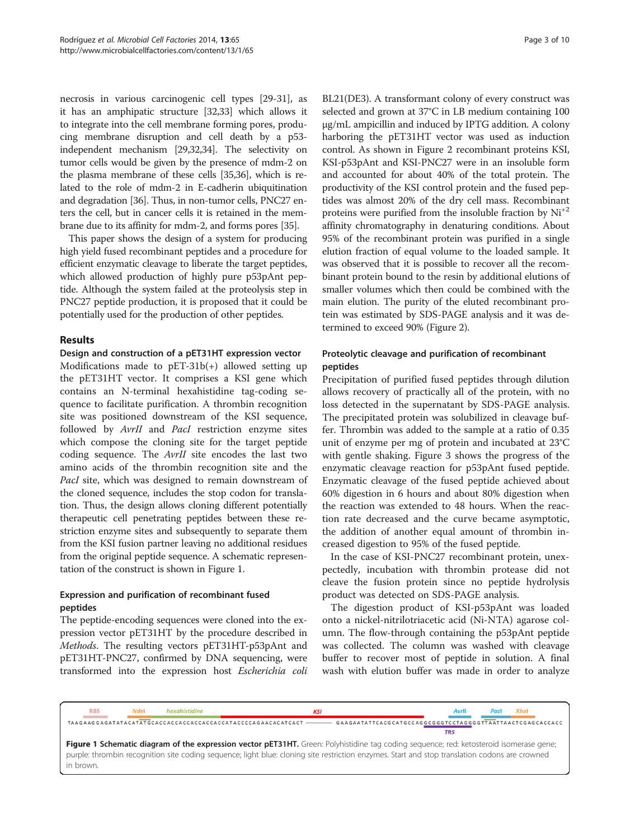necrosis in various carcinogenic cell types [[29](#page-8-0)-[31](#page-8-0)], as it has an amphipatic structure [[32,33](#page-8-0)] which allows it to integrate into the cell membrane forming pores, producing membrane disruption and cell death by a p53 independent mechanism [\[29,32,34\]](#page-8-0). The selectivity on tumor cells would be given by the presence of mdm-2 on the plasma membrane of these cells [\[35,36](#page-8-0)], which is related to the role of mdm-2 in E-cadherin ubiquitination and degradation [\[36](#page-8-0)]. Thus, in non-tumor cells, PNC27 enters the cell, but in cancer cells it is retained in the membrane due to its affinity for mdm-2, and forms pores [\[35\]](#page-8-0).

This paper shows the design of a system for producing high yield fused recombinant peptides and a procedure for efficient enzymatic cleavage to liberate the target peptides, which allowed production of highly pure p53pAnt peptide. Although the system failed at the proteolysis step in PNC27 peptide production, it is proposed that it could be potentially used for the production of other peptides.

# Results

### Design and construction of a pET31HT expression vector

Modifications made to pET-31b(+) allowed setting up the pET31HT vector. It comprises a KSI gene which contains an N-terminal hexahistidine tag-coding sequence to facilitate purification. A thrombin recognition site was positioned downstream of the KSI sequence, followed by AvrII and PacI restriction enzyme sites which compose the cloning site for the target peptide coding sequence. The AvrII site encodes the last two amino acids of the thrombin recognition site and the PacI site, which was designed to remain downstream of the cloned sequence, includes the stop codon for translation. Thus, the design allows cloning different potentially therapeutic cell penetrating peptides between these restriction enzyme sites and subsequently to separate them from the KSI fusion partner leaving no additional residues from the original peptide sequence. A schematic representation of the construct is shown in Figure 1.

# Expression and purification of recombinant fused peptides

The peptide-encoding sequences were cloned into the expression vector pET31HT by the procedure described in Methods. The resulting vectors pET31HT-p53pAnt and pET31HT-PNC27, confirmed by DNA sequencing, were transformed into the expression host Escherichia coli BL21(DE3). A transformant colony of every construct was selected and grown at 37°C in LB medium containing 100 μg/mL ampicillin and induced by IPTG addition. A colony harboring the pET31HT vector was used as induction control. As shown in Figure [2](#page-3-0) recombinant proteins KSI, KSI-p53pAnt and KSI-PNC27 were in an insoluble form and accounted for about 40% of the total protein. The productivity of the KSI control protein and the fused peptides was almost 20% of the dry cell mass. Recombinant proteins were purified from the insoluble fraction by  $Ni^{+2}$ affinity chromatography in denaturing conditions. About 95% of the recombinant protein was purified in a single elution fraction of equal volume to the loaded sample. It was observed that it is possible to recover all the recombinant protein bound to the resin by additional elutions of smaller volumes which then could be combined with the main elution. The purity of the eluted recombinant protein was estimated by SDS-PAGE analysis and it was determined to exceed 90% (Figure [2\)](#page-3-0).

# Proteolytic cleavage and purification of recombinant peptides

Precipitation of purified fused peptides through dilution allows recovery of practically all of the protein, with no loss detected in the supernatant by SDS-PAGE analysis. The precipitated protein was solubilized in cleavage buffer. Thrombin was added to the sample at a ratio of 0.35 unit of enzyme per mg of protein and incubated at 23°C with gentle shaking. Figure [3](#page-4-0) shows the progress of the enzymatic cleavage reaction for p53pAnt fused peptide. Enzymatic cleavage of the fused peptide achieved about 60% digestion in 6 hours and about 80% digestion when the reaction was extended to 48 hours. When the reaction rate decreased and the curve became asymptotic, the addition of another equal amount of thrombin increased digestion to 95% of the fused peptide.

In the case of KSI-PNC27 recombinant protein, unexpectedly, incubation with thrombin protease did not cleave the fusion protein since no peptide hydrolysis product was detected on SDS-PAGE analysis.

The digestion product of KSI-p53pAnt was loaded onto a nickel-nitrilotriacetic acid (Ni-NTA) agarose column. The flow-through containing the p53pAnt peptide was collected. The column was washed with cleavage buffer to recover most of peptide in solution. A final wash with elution buffer was made in order to analyze

| <b>RBS</b>                                                                                                                              | Ndel | hexahistidine | <b>KSI</b>                                                                                                                                     | Avrll |  | Xhol |  |  |
|-----------------------------------------------------------------------------------------------------------------------------------------|------|---------------|------------------------------------------------------------------------------------------------------------------------------------------------|-------|--|------|--|--|
|                                                                                                                                         |      |               |                                                                                                                                                | TRS   |  |      |  |  |
| Figure 1 Schematic diagram of the expression vector pET31HT. Green: Polyhistidine tag coding sequence; red: ketosteroid isomerase gene; |      |               |                                                                                                                                                |       |  |      |  |  |
| in brown.                                                                                                                               |      |               | purple: thrombin recognition site coding sequence; light blue: cloning site restriction enzymes. Start and stop translation codons are crowned |       |  |      |  |  |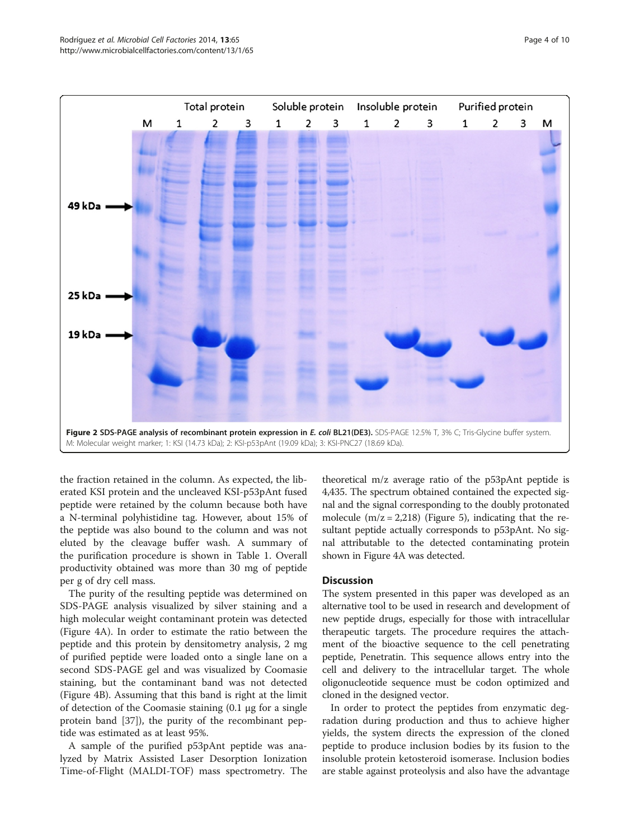<span id="page-3-0"></span>

the fraction retained in the column. As expected, the liberated KSI protein and the uncleaved KSI-p53pAnt fused peptide were retained by the column because both have a N-terminal polyhistidine tag. However, about 15% of the peptide was also bound to the column and was not eluted by the cleavage buffer wash. A summary of the purification procedure is shown in Table [1.](#page-4-0) Overall productivity obtained was more than 30 mg of peptide per g of dry cell mass.

The purity of the resulting peptide was determined on SDS-PAGE analysis visualized by silver staining and a high molecular weight contaminant protein was detected (Figure [4A](#page-4-0)). In order to estimate the ratio between the peptide and this protein by densitometry analysis, 2 mg of purified peptide were loaded onto a single lane on a second SDS-PAGE gel and was visualized by Coomasie staining, but the contaminant band was not detected (Figure [4B](#page-4-0)). Assuming that this band is right at the limit of detection of the Coomasie staining (0.1 μg for a single protein band [\[37\]](#page-8-0)), the purity of the recombinant peptide was estimated as at least 95%.

A sample of the purified p53pAnt peptide was analyzed by Matrix Assisted Laser Desorption Ionization Time-of-Flight (MALDI-TOF) mass spectrometry. The theoretical m/z average ratio of the p53pAnt peptide is 4,435. The spectrum obtained contained the expected signal and the signal corresponding to the doubly protonated molecule  $(m/z = 2,218)$  (Figure [5\)](#page-5-0), indicating that the resultant peptide actually corresponds to p53pAnt. No signal attributable to the detected contaminating protein shown in Figure [4A](#page-4-0) was detected.

# **Discussion**

The system presented in this paper was developed as an alternative tool to be used in research and development of new peptide drugs, especially for those with intracellular therapeutic targets. The procedure requires the attachment of the bioactive sequence to the cell penetrating peptide, Penetratin. This sequence allows entry into the cell and delivery to the intracellular target. The whole oligonucleotide sequence must be codon optimized and cloned in the designed vector.

In order to protect the peptides from enzymatic degradation during production and thus to achieve higher yields, the system directs the expression of the cloned peptide to produce inclusion bodies by its fusion to the insoluble protein ketosteroid isomerase. Inclusion bodies are stable against proteolysis and also have the advantage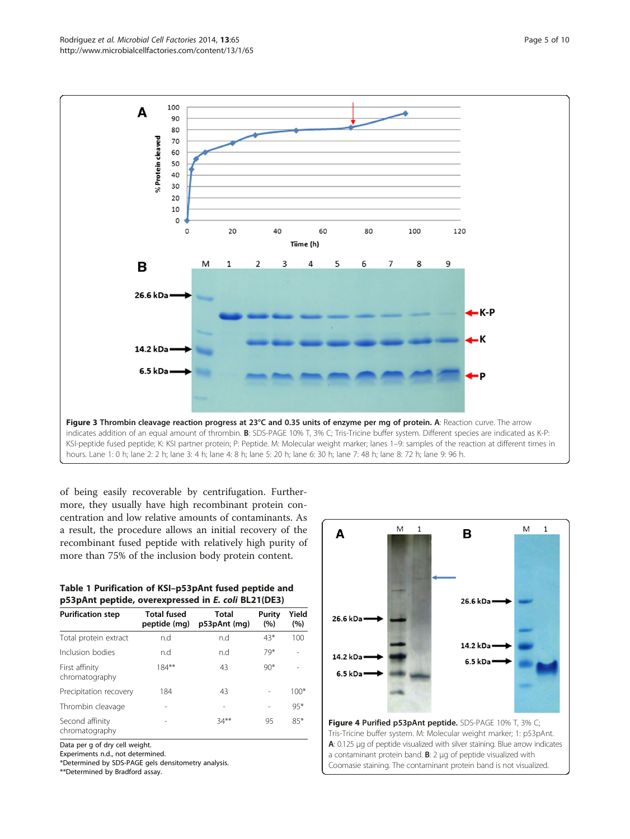<span id="page-4-0"></span>

of being easily recoverable by centrifugation. Furthermore, they usually have high recombinant protein concentration and low relative amounts of contaminants. As a result, the procedure allows an initial recovery of the recombinant fused peptide with relatively high purity of more than 75% of the inclusion body protein content.

| Table 1 Purification of KSI-p53pAnt fused peptide and |  |
|-------------------------------------------------------|--|
| p53pAnt peptide, overexpressed in E. coli BL21(DE3)   |  |

| <b>Purification step</b>          | <b>Total fused</b><br>peptide (mg) | <b>Total</b><br>p53pAnt (mg) | Purity<br>(%) | Yield<br>(%) |
|-----------------------------------|------------------------------------|------------------------------|---------------|--------------|
| Total protein extract             | n.d                                | n.d                          | $43*$         | 100          |
| Inclusion bodies                  | n.d                                | n.d                          | $79*$         |              |
| First affinity<br>chromatography  | $184***$                           | 43                           | $90*$         |              |
| Precipitation recovery            | 184                                | 43                           |               | $100*$       |
| Thrombin cleavage                 | $\overline{a}$                     | $\overline{a}$               |               | $95*$        |
| Second affinity<br>chromatography | ۰                                  | $34**$                       | 95            | $85*$        |

Data per g of dry cell weight.

Experiments n.d., not determined.

\*Determined by SDS-PAGE gels densitometry analysis.

\*\*Determined by Bradford assay.



A: 0.125 μg of peptide visualized with silver staining. Blue arrow indicates a contaminant protein band. B: 2 μg of peptide visualized with Coomasie staining. The contaminant protein band is not visualized.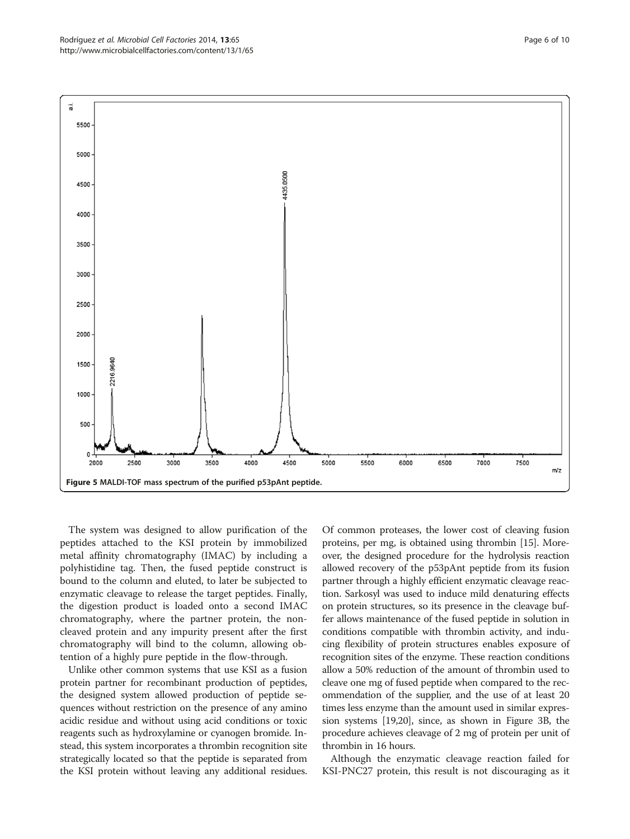<span id="page-5-0"></span>

The system was designed to allow purification of the peptides attached to the KSI protein by immobilized metal affinity chromatography (IMAC) by including a polyhistidine tag. Then, the fused peptide construct is bound to the column and eluted, to later be subjected to enzymatic cleavage to release the target peptides. Finally, the digestion product is loaded onto a second IMAC chromatography, where the partner protein, the noncleaved protein and any impurity present after the first chromatography will bind to the column, allowing obtention of a highly pure peptide in the flow-through.

Unlike other common systems that use KSI as a fusion protein partner for recombinant production of peptides, the designed system allowed production of peptide sequences without restriction on the presence of any amino acidic residue and without using acid conditions or toxic reagents such as hydroxylamine or cyanogen bromide. Instead, this system incorporates a thrombin recognition site strategically located so that the peptide is separated from the KSI protein without leaving any additional residues.

Of common proteases, the lower cost of cleaving fusion proteins, per mg, is obtained using thrombin [[15](#page-8-0)]. Moreover, the designed procedure for the hydrolysis reaction allowed recovery of the p53pAnt peptide from its fusion partner through a highly efficient enzymatic cleavage reaction. Sarkosyl was used to induce mild denaturing effects on protein structures, so its presence in the cleavage buffer allows maintenance of the fused peptide in solution in conditions compatible with thrombin activity, and inducing flexibility of protein structures enables exposure of recognition sites of the enzyme. These reaction conditions allow a 50% reduction of the amount of thrombin used to cleave one mg of fused peptide when compared to the recommendation of the supplier, and the use of at least 20 times less enzyme than the amount used in similar expression systems [[19,20\]](#page-8-0), since, as shown in Figure [3](#page-4-0)B, the procedure achieves cleavage of 2 mg of protein per unit of thrombin in 16 hours.

Although the enzymatic cleavage reaction failed for KSI-PNC27 protein, this result is not discouraging as it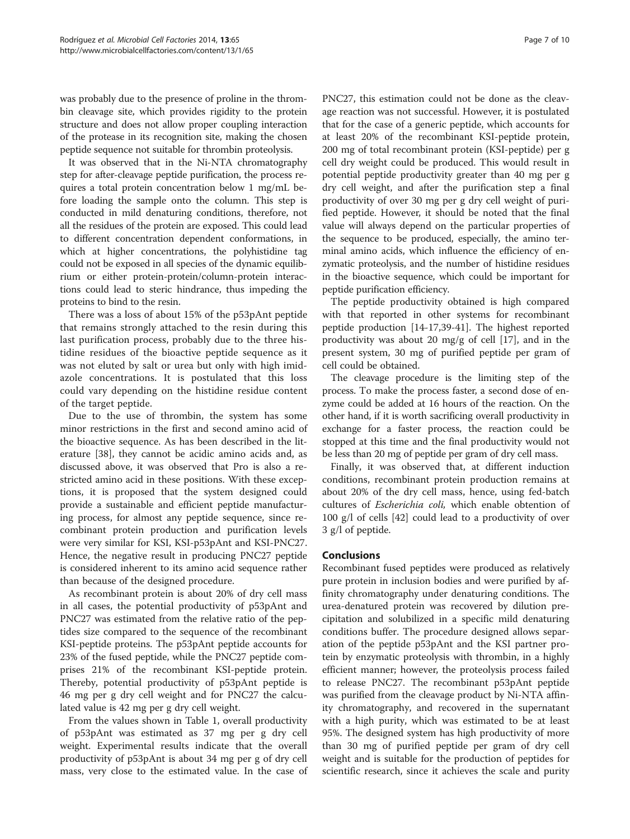was probably due to the presence of proline in the thrombin cleavage site, which provides rigidity to the protein structure and does not allow proper coupling interaction of the protease in its recognition site, making the chosen peptide sequence not suitable for thrombin proteolysis.

It was observed that in the Ni-NTA chromatography step for after-cleavage peptide purification, the process requires a total protein concentration below 1 mg/mL before loading the sample onto the column. This step is conducted in mild denaturing conditions, therefore, not all the residues of the protein are exposed. This could lead to different concentration dependent conformations, in which at higher concentrations, the polyhistidine tag could not be exposed in all species of the dynamic equilibrium or either protein-protein/column-protein interactions could lead to steric hindrance, thus impeding the proteins to bind to the resin.

There was a loss of about 15% of the p53pAnt peptide that remains strongly attached to the resin during this last purification process, probably due to the three histidine residues of the bioactive peptide sequence as it was not eluted by salt or urea but only with high imidazole concentrations. It is postulated that this loss could vary depending on the histidine residue content of the target peptide.

Due to the use of thrombin, the system has some minor restrictions in the first and second amino acid of the bioactive sequence. As has been described in the literature [\[38\]](#page-8-0), they cannot be acidic amino acids and, as discussed above, it was observed that Pro is also a restricted amino acid in these positions. With these exceptions, it is proposed that the system designed could provide a sustainable and efficient peptide manufacturing process, for almost any peptide sequence, since recombinant protein production and purification levels were very similar for KSI, KSI-p53pAnt and KSI-PNC27. Hence, the negative result in producing PNC27 peptide is considered inherent to its amino acid sequence rather than because of the designed procedure.

As recombinant protein is about 20% of dry cell mass in all cases, the potential productivity of p53pAnt and PNC27 was estimated from the relative ratio of the peptides size compared to the sequence of the recombinant KSI-peptide proteins. The p53pAnt peptide accounts for 23% of the fused peptide, while the PNC27 peptide comprises 21% of the recombinant KSI-peptide protein. Thereby, potential productivity of p53pAnt peptide is 46 mg per g dry cell weight and for PNC27 the calculated value is 42 mg per g dry cell weight.

From the values shown in Table [1](#page-4-0), overall productivity of p53pAnt was estimated as 37 mg per g dry cell weight. Experimental results indicate that the overall productivity of p53pAnt is about 34 mg per g of dry cell mass, very close to the estimated value. In the case of

PNC27, this estimation could not be done as the cleavage reaction was not successful. However, it is postulated that for the case of a generic peptide, which accounts for at least 20% of the recombinant KSI-peptide protein, 200 mg of total recombinant protein (KSI-peptide) per g cell dry weight could be produced. This would result in potential peptide productivity greater than 40 mg per g dry cell weight, and after the purification step a final productivity of over 30 mg per g dry cell weight of purified peptide. However, it should be noted that the final value will always depend on the particular properties of the sequence to be produced, especially, the amino terminal amino acids, which influence the efficiency of enzymatic proteolysis, and the number of histidine residues in the bioactive sequence, which could be important for peptide purification efficiency.

The peptide productivity obtained is high compared with that reported in other systems for recombinant peptide production [[14-17,39](#page-8-0)[-41](#page-9-0)]. The highest reported productivity was about 20 mg/g of cell [[17\]](#page-8-0), and in the present system, 30 mg of purified peptide per gram of cell could be obtained.

The cleavage procedure is the limiting step of the process. To make the process faster, a second dose of enzyme could be added at 16 hours of the reaction. On the other hand, if it is worth sacrificing overall productivity in exchange for a faster process, the reaction could be stopped at this time and the final productivity would not be less than 20 mg of peptide per gram of dry cell mass.

Finally, it was observed that, at different induction conditions, recombinant protein production remains at about 20% of the dry cell mass, hence, using fed-batch cultures of Escherichia coli, which enable obtention of 100 g/l of cells [[42](#page-9-0)] could lead to a productivity of over 3 g/l of peptide.

# Conclusions

Recombinant fused peptides were produced as relatively pure protein in inclusion bodies and were purified by affinity chromatography under denaturing conditions. The urea-denatured protein was recovered by dilution precipitation and solubilized in a specific mild denaturing conditions buffer. The procedure designed allows separation of the peptide p53pAnt and the KSI partner protein by enzymatic proteolysis with thrombin, in a highly efficient manner; however, the proteolysis process failed to release PNC27. The recombinant p53pAnt peptide was purified from the cleavage product by Ni-NTA affinity chromatography, and recovered in the supernatant with a high purity, which was estimated to be at least 95%. The designed system has high productivity of more than 30 mg of purified peptide per gram of dry cell weight and is suitable for the production of peptides for scientific research, since it achieves the scale and purity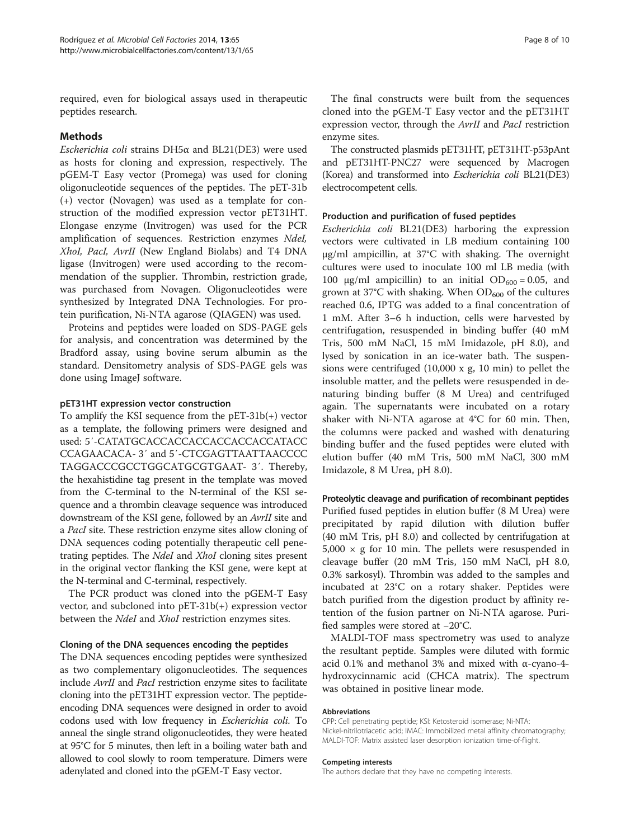required, even for biological assays used in therapeutic peptides research.

# Methods

Escherichia coli strains DH5α and BL21(DE3) were used as hosts for cloning and expression, respectively. The pGEM-T Easy vector (Promega) was used for cloning oligonucleotide sequences of the peptides. The pET-31b (+) vector (Novagen) was used as a template for construction of the modified expression vector pET31HT. Elongase enzyme (Invitrogen) was used for the PCR amplification of sequences. Restriction enzymes NdeI, XhoI, PacI, AvrII (New England Biolabs) and T4 DNA ligase (Invitrogen) were used according to the recommendation of the supplier. Thrombin, restriction grade, was purchased from Novagen. Oligonucleotides were synthesized by Integrated DNA Technologies. For protein purification, Ni-NTA agarose (QIAGEN) was used.

Proteins and peptides were loaded on SDS-PAGE gels for analysis, and concentration was determined by the Bradford assay, using bovine serum albumin as the standard. Densitometry analysis of SDS-PAGE gels was done using ImageJ software.

### pET31HT expression vector construction

To amplify the KSI sequence from the pET-31b(+) vector as a template, the following primers were designed and used: 5′-CATATGCACCACCACCACCACCACCATACC CCAGAACACA- 3′ and 5′-CTCGAGTTAATTAACCCC TAGGACCCGCCTGGCATGCGTGAAT- 3′. Thereby, the hexahistidine tag present in the template was moved from the C-terminal to the N-terminal of the KSI sequence and a thrombin cleavage sequence was introduced downstream of the KSI gene, followed by an AvrII site and a PacI site. These restriction enzyme sites allow cloning of DNA sequences coding potentially therapeutic cell penetrating peptides. The *NdeI* and *XhoI* cloning sites present in the original vector flanking the KSI gene, were kept at the N-terminal and C-terminal, respectively.

The PCR product was cloned into the pGEM-T Easy vector, and subcloned into pET-31b(+) expression vector between the *NdeI* and *XhoI* restriction enzymes sites.

#### Cloning of the DNA sequences encoding the peptides

The DNA sequences encoding peptides were synthesized as two complementary oligonucleotides. The sequences include AvrII and PacI restriction enzyme sites to facilitate cloning into the pET31HT expression vector. The peptideencoding DNA sequences were designed in order to avoid codons used with low frequency in Escherichia coli. To anneal the single strand oligonucleotides, they were heated at 95°C for 5 minutes, then left in a boiling water bath and allowed to cool slowly to room temperature. Dimers were adenylated and cloned into the pGEM-T Easy vector.

The final constructs were built from the sequences cloned into the pGEM-T Easy vector and the pET31HT expression vector, through the AvrII and PacI restriction enzyme sites.

The constructed plasmids pET31HT, pET31HT-p53pAnt and pET31HT-PNC27 were sequenced by Macrogen (Korea) and transformed into Escherichia coli BL21(DE3) electrocompetent cells.

### Production and purification of fused peptides

Escherichia coli BL21(DE3) harboring the expression vectors were cultivated in LB medium containing 100 μg/ml ampicillin, at 37°C with shaking. The overnight cultures were used to inoculate 100 ml LB media (with 100 μg/ml ampicillin) to an initial  $OD<sub>600</sub> = 0.05$ , and grown at 37°C with shaking. When  $OD_{600}$  of the cultures reached 0.6, IPTG was added to a final concentration of 1 mM. After 3–6 h induction, cells were harvested by centrifugation, resuspended in binding buffer (40 mM Tris, 500 mM NaCl, 15 mM Imidazole, pH 8.0), and lysed by sonication in an ice-water bath. The suspensions were centrifuged (10,000 x g, 10 min) to pellet the insoluble matter, and the pellets were resuspended in denaturing binding buffer (8 M Urea) and centrifuged again. The supernatants were incubated on a rotary shaker with Ni-NTA agarose at 4°C for 60 min. Then, the columns were packed and washed with denaturing binding buffer and the fused peptides were eluted with elution buffer (40 mM Tris, 500 mM NaCl, 300 mM Imidazole, 8 M Urea, pH 8.0).

# Proteolytic cleavage and purification of recombinant peptides

Purified fused peptides in elution buffer (8 M Urea) were precipitated by rapid dilution with dilution buffer (40 mM Tris, pH 8.0) and collected by centrifugation at  $5,000 \times g$  for 10 min. The pellets were resuspended in cleavage buffer (20 mM Tris, 150 mM NaCl, pH 8.0, 0.3% sarkosyl). Thrombin was added to the samples and incubated at 23°C on a rotary shaker. Peptides were batch purified from the digestion product by affinity retention of the fusion partner on Ni-NTA agarose. Purified samples were stored at −20°C.

MALDI-TOF mass spectrometry was used to analyze the resultant peptide. Samples were diluted with formic acid 0.1% and methanol 3% and mixed with α-cyano-4 hydroxycinnamic acid (CHCA matrix). The spectrum was obtained in positive linear mode.

#### Abbreviations

CPP: Cell penetrating peptide; KSI: Ketosteroid isomerase; Ni-NTA: Nickel-nitrilotriacetic acid; IMAC: Immobilized metal affinity chromatography; MALDI-TOF: Matrix assisted laser desorption ionization time-of-flight.

#### Competing interests

The authors declare that they have no competing interests.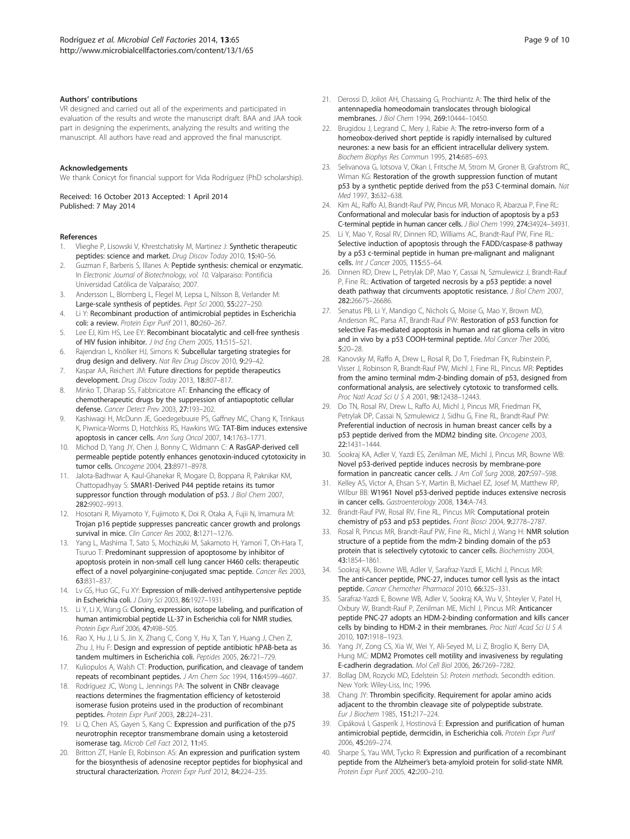#### <span id="page-8-0"></span>Authors' contributions

VR designed and carried out all of the experiments and participated in evaluation of the results and wrote the manuscript draft. BAA and JAA took part in designing the experiments, analyzing the results and writing the manuscript. All authors have read and approved the final manuscript.

#### Acknowledgements

We thank Conicyt for financial support for Vida Rodríguez (PhD scholarship).

Received: 16 October 2013 Accepted: 1 April 2014 Published: 7 May 2014

#### References

- 1. Vlieghe P, Lisowski V, Khrestchatisky M, Martinez J: Synthetic therapeutic peptides: science and market. Drug Discov Today 2010, 15:40-56.
- Guzman F, Barberis S, Illanes A: Peptide synthesis: chemical or enzymatic. In Electronic Journal of Biotechnology, vol. 10. Valparaiso: Pontificia Universidad Católica de Valparaíso; 2007.
- 3. Andersson L, Blomberg L, Flegel M, Lepsa L, Nilsson B, Verlander M: Large-scale synthesis of peptides. Pept Sci 2000, 55:227–250.
- 4. Li Y: Recombinant production of antimicrobial peptides in Escherichia coli: a review. Protein Expr Purif 2011, 80:260-267
- 5. Lee EJ, Kim HS, Lee EY: Recombinant biocatalytic and cell-free synthesis of HIV fusion inhibitor. J Ind Eng Chem 2005, 11:515–521.
- 6. Rajendran L, Knölker HJ, Simons K: Subcellular targeting strategies for drug design and delivery. Nat Rev Drug Discov 2010, 9:29–42.
- 7. Kaspar AA, Reichert JM: Future directions for peptide therapeutics development. Drug Discov Today 2013, 18:807–817.
- 8. Minko T, Dharap SS, Fabbricatore AT: Enhancing the efficacy of chemotherapeutic drugs by the suppression of antiapoptotic cellular defense. Cancer Detect Prev 2003, 27:193–202.
- 9. Kashiwagi H, McDunn JE, Goedegebuure PS, Gaffney MC, Chang K, Trinkaus K, Piwnica-Worms D, Hotchkiss RS, Hawkins WG: TAT-Bim induces extensive apoptosis in cancer cells. Ann Surg Oncol 2007, 14:1763–1771.
- 10. Michod D, Yang JY, Chen J, Bonny C, Widmann C: A RasGAP-derived cell permeable peptide potently enhances genotoxin-induced cytotoxicity in tumor cells. Oncogene 2004, 23:8971–8978.
- 11. Jalota-Badhwar A, Kaul-Ghanekar R, Mogare D, Boppana R, Paknikar KM, Chattopadhyay S: SMAR1-Derived P44 peptide retains its tumor suppressor function through modulation of p53. J Biol Chem 2007, 282:9902–9913.
- 12. Hosotani R, Miyamoto Y, Fujimoto K, Doi R, Otaka A, Fujii N, Imamura M: Trojan p16 peptide suppresses pancreatic cancer growth and prolongs survival in mice. Clin Cancer Res 2002, 8:1271-1276.
- 13. Yang L, Mashima T, Sato S, Mochizuki M, Sakamoto H, Yamori T, Oh-Hara T, Tsuruo T: Predominant suppression of apoptosome by inhibitor of apoptosis protein in non-small cell lung cancer H460 cells: therapeutic effect of a novel polyarginine-conjugated smac peptide. Cancer Res 2003, 63:831–837.
- 14. Lv GS, Huo GC, Fu XY: Expression of milk-derived antihypertensive peptide in Escherichia coli. J Dairy Sci 2003, 86:1927–1931.
- 15. Li Y, Li X, Wang G: Cloning, expression, isotope labeling, and purification of human antimicrobial peptide LL-37 in Escherichia coli for NMR studies. Protein Expr Purif 2006, 47:498–505.
- 16. Rao X, Hu J, Li S, Jin X, Zhang C, Cong Y, Hu X, Tan Y, Huang J, Chen Z, Zhu J, Hu F: Design and expression of peptide antibiotic hPAB-beta as tandem multimers in Escherichia coli. Peptides 2005, 26:721–729.
- 17. Kuliopulos A, Walsh CT: Production, purification, and cleavage of tandem repeats of recombinant peptides. J Am Chem Soc 1994, 116:4599–4607.
- 18. Rodríguez JC, Wong L, Jennings PA: The solvent in CNBr cleavage reactions determines the fragmentation efficiency of ketosteroid isomerase fusion proteins used in the production of recombinant peptides. Protein Expr Purif 2003, 28:224–231.
- 19. Li Q, Chen AS, Gayen S, Kang C: Expression and purification of the p75 neurotrophin receptor transmembrane domain using a ketosteroid isomerase tag. Microb Cell Fact 2012, 11:45.
- 20. Britton ZT, Hanle EI, Robinson AS: An expression and purification system for the biosynthesis of adenosine receptor peptides for biophysical and structural characterization. Protein Expr Purif 2012, 84:224–235.
- 
- 21. Derossi D, Joliot AH, Chassaing G, Prochiantz A: The third helix of the antennapedia homeodomain translocates through biological membranes. J Biol Chem 1994, 269:10444–10450.
- 22. Brugidou J, Legrand C, Mery J, Rabie A: The retro-inverso form of a homeobox-derived short peptide is rapidly internalised by cultured neurones: a new basis for an efficient intracellular delivery system. Biochem Biophys Res Commun 1995, 214:685–693.
- 23. Selivanova G, Iotsova V, Okan I, Fritsche M, Strom M, Groner B, Grafstrom RC, Wiman KG: Restoration of the growth suppression function of mutant p53 by a synthetic peptide derived from the p53 C-terminal domain. Nat Med 1997, 3:632-638.
- 24. Kim AL, Raffo AJ, Brandt-Rauf PW, Pincus MR, Monaco R, Abarzua P, Fine RL: Conformational and molecular basis for induction of apoptosis by a p53 C-terminal peptide in human cancer cells. J Biol Chem 1999, 274:34924–34931.
- 25. Li Y, Mao Y, Rosal RV, Dinnen RD, Williams AC, Brandt-Rauf PW, Fine RL: Selective induction of apoptosis through the FADD/caspase-8 pathway by a p53 c-terminal peptide in human pre-malignant and malignant cells. Int J Cancer 2005, 115:55-64.
- 26. Dinnen RD, Drew L, Petrylak DP, Mao Y, Cassai N, Szmulewicz J, Brandt-Rauf P, Fine RL: Activation of targeted necrosis by a p53 peptide: a novel death pathway that circumvents apoptotic resistance. J Biol Chem 2007, 282:26675–26686.
- 27. Senatus PB, Li Y, Mandigo C, Nichols G, Moise G, Mao Y, Brown MD, Anderson RC, Parsa AT, Brandt-Rauf PW: Restoration of p53 function for selective Fas-mediated apoptosis in human and rat glioma cells in vitro and in vivo by a p53 COOH-terminal peptide. Mol Cancer Ther 2006, 5:20–28.
- 28. Kanovsky M, Raffo A, Drew L, Rosal R, Do T, Friedman FK, Rubinstein P, Visser J, Robinson R, Brandt-Rauf PW, Michl J, Fine RL, Pincus MR: Peptides from the amino terminal mdm-2-binding domain of p53, designed from conformational analysis, are selectively cytotoxic to transformed cells. Proc Natl Acad Sci U S A 2001, 98:12438–12443.
- 29. Do TN, Rosal RV, Drew L, Raffo AJ, Michl J, Pincus MR, Friedman FK, Petrylak DP, Cassai N, Szmulewicz J, Sidhu G, Fine RL, Brandt-Rauf PW: Preferential induction of necrosis in human breast cancer cells by a p53 peptide derived from the MDM2 binding site. Oncogene 2003, 22:1431–1444.
- 30. Sookraj KA, Adler V, Yazdi ES, Zenilman ME, Michl J, Pincus MR, Bowne WB: Novel p53-derived peptide induces necrosis by membrane-pore formation in pancreatic cancer cells. J Am Coll Surg 2008, 207:S97–S98.
- 31. Kelley AS, Victor A, Ehsan S-Y, Martin B, Michael EZ, Josef M, Matthew RP, Wilbur BB: W1961 Novel p53-derived peptide induces extensive necrosis in cancer cells. Gastroenterology 2008, 134:A-743.
- 32. Brandt-Rauf PW, Rosal RV, Fine RL, Pincus MR: Computational protein chemistry of p53 and p53 peptides. Front Biosci 2004, 9:2778–2787.
- 33. Rosal R, Pincus MR, Brandt-Rauf PW, Fine RL, Michl J, Wang H: NMR solution structure of a peptide from the mdm-2 binding domain of the p53 protein that is selectively cytotoxic to cancer cells. Biochemistry 2004, 43:1854–1861.
- 34. Sookraj KA, Bowne WB, Adler V, Sarafraz-Yazdi E, Michl J, Pincus MR: The anti-cancer peptide, PNC-27, induces tumor cell lysis as the intact peptide. Cancer Chemother Pharmacol 2010, 66:325–331.
- Sarafraz-Yazdi E, Bowne WB, Adler V, Sookraj KA, Wu V, Shteyler V, Patel H, Oxbury W, Brandt-Rauf P, Zenilman ME, Michl J, Pincus MR: Anticancer peptide PNC-27 adopts an HDM-2-binding conformation and kills cancer cells by binding to HDM-2 in their membranes. Proc Natl Acad Sci U S A 2010, 107:1918–1923.
- 36. Yang JY, Zong CS, Xia W, Wei Y, Ali-Seyed M, Li Z, Broglio K, Berry DA, Hung MC: MDM2 Promotes cell motility and invasiveness by regulating E-cadherin degradation. Mol Cell Biol 2006, 26:7269–7282.
- 37. Bollag DM, Rozycki MD, Edelstein SJ: Protein methods. Secondth edition. New York: Wiley-Liss, Inc; 1996.
- 38. Chang JY: Thrombin specificity. Requirement for apolar amino acids adjacent to the thrombin cleavage site of polypeptide substrate. Eur J Biochem 1985, 151:217–224.
- 39. Cipáková I, Gasperík J, Hostinová E: Expression and purification of human antimicrobial peptide, dermcidin, in Escherichia coli. Protein Expr Purif 2006, 45:269–274.
- 40. Sharpe S, Yau WM, Tycko R: Expression and purification of a recombinant peptide from the Alzheimer's beta-amyloid protein for solid-state NMR. .<br>Protein Expr Purif 2005, 42:200-210.